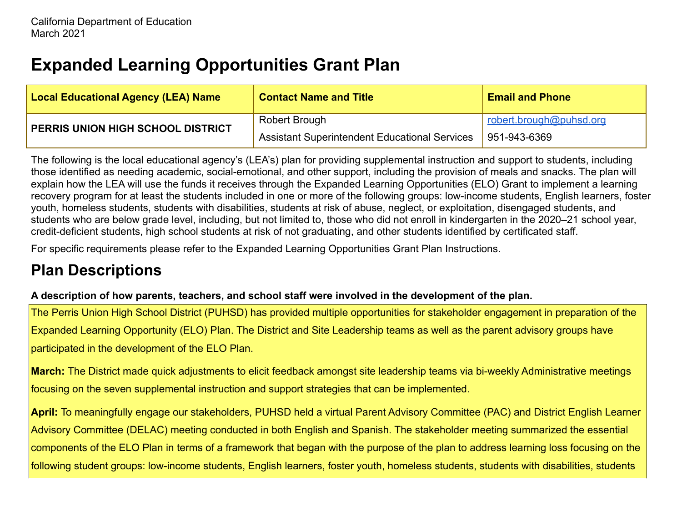# **Expanded Learning Opportunities Grant Plan**

| <b>Local Educational Agency (LEA) Name</b> | <b>Contact Name and Title</b>                        | <b>Email and Phone</b>  |
|--------------------------------------------|------------------------------------------------------|-------------------------|
| PERRIS UNION HIGH SCHOOL DISTRICT          | Robert Brough                                        | robert.brough@puhsd.org |
|                                            | <b>Assistant Superintendent Educational Services</b> | 951-943-6369            |

The following is the local educational agency's (LEA's) plan for providing supplemental instruction and support to students, including those identified as needing academic, social-emotional, and other support, including the provision of meals and snacks. The plan will explain how the LEA will use the funds it receives through the Expanded Learning Opportunities (ELO) Grant to implement a learning recovery program for at least the students included in one or more of the following groups: low-income students, English learners, foster youth, homeless students, students with disabilities, students at risk of abuse, neglect, or exploitation, disengaged students, and students who are below grade level, including, but not limited to, those who did not enroll in kindergarten in the 2020–21 school year, credit-deficient students, high school students at risk of not graduating, and other students identified by certificated staff.

For specific requirements please refer to the Expanded Learning Opportunities Grant Plan Instructions.

### **Plan Descriptions**

#### **A description of how parents, teachers, and school staff were involved in the development of the plan.**

The Perris Union High School District (PUHSD) has provided multiple opportunities for stakeholder engagement in preparation of the Expanded Learning Opportunity (ELO) Plan. The District and Site Leadership teams as well as the parent advisory groups have participated in the development of the ELO Plan.

**March:** The District made quick adjustments to elicit feedback amongst site leadership teams via bi-weekly Administrative meetings focusing on the seven supplemental instruction and support strategies that can be implemented.

**April:** To meaningfully engage our stakeholders, PUHSD held a virtual Parent Advisory Committee (PAC) and District English Learner Advisory Committee (DELAC) meeting conducted in both English and Spanish. The stakeholder meeting summarized the essential components of the ELO Plan in terms of a framework that began with the purpose of the plan to address learning loss focusing on the following student groups: low-income students, English learners, foster youth, homeless students, students with disabilities, students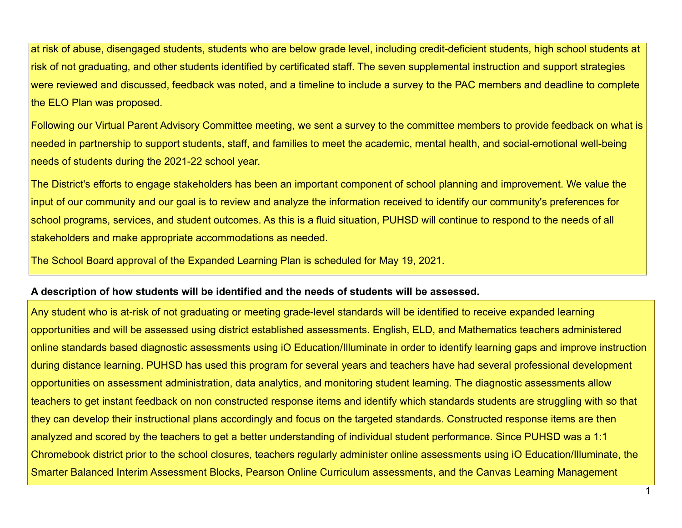at risk of abuse, disengaged students, students who are below grade level, including credit-deficient students, high school students at risk of not graduating, and other students identified by certificated staff. The seven supplemental instruction and support strategies were reviewed and discussed, feedback was noted, and a timeline to include a survey to the PAC members and deadline to complete the ELO Plan was proposed.

Following our Virtual Parent Advisory Committee meeting, we sent a survey to the committee members to provide feedback on what is needed in partnership to support students, staff, and families to meet the academic, mental health, and social-emotional well-being needs of students during the 2021-22 school year.

The District's efforts to engage stakeholders has been an important component of school planning and improvement. We value the input of our community and our goal is to review and analyze the information received to identify our community's preferences for school programs, services, and student outcomes. As this is a fluid situation, PUHSD will continue to respond to the needs of all stakeholders and make appropriate accommodations as needed.

The School Board approval of the Expanded Learning Plan is scheduled for May 19, 2021.

#### **A description of how students will be identified and the needs of students will be assessed.**

Any student who is at-risk of not graduating or meeting grade-level standards will be identified to receive expanded learning opportunities and will be assessed using district established assessments. English, ELD, and Mathematics teachers administered online standards based diagnostic assessments using iO Education/Illuminate in order to identify learning gaps and improve instruction during distance learning. PUHSD has used this program for several years and teachers have had several professional development opportunities on assessment administration, data analytics, and monitoring student learning. The diagnostic assessments allow teachers to get instant feedback on non constructed response items and identify which standards students are struggling with so that they can develop their instructional plans accordingly and focus on the targeted standards. Constructed response items are then analyzed and scored by the teachers to get a better understanding of individual student performance. Since PUHSD was a 1:1 Chromebook district prior to the school closures, teachers regularly administer online assessments using iO Education/Illuminate, the Smarter Balanced Interim Assessment Blocks, Pearson Online Curriculum assessments, and the Canvas Learning Management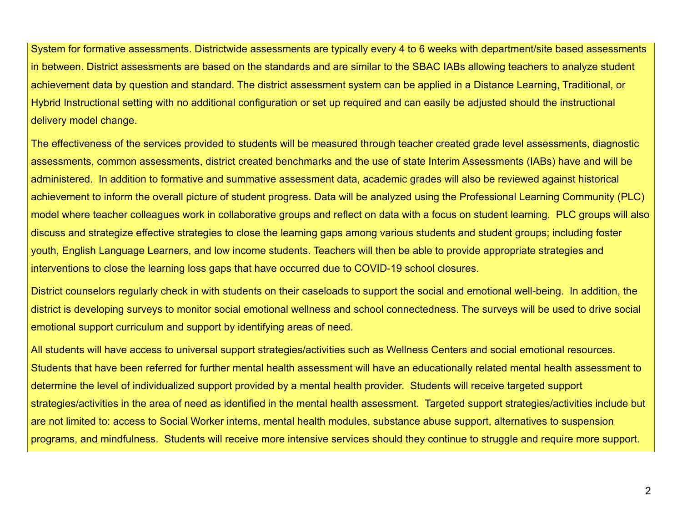System for formative assessments. Districtwide assessments are typically every 4 to 6 weeks with department/site based assessments in between. District assessments are based on the standards and are similar to the SBAC IABs allowing teachers to analyze student achievement data by question and standard. The district assessment system can be applied in a Distance Learning, Traditional, or Hybrid Instructional setting with no additional configuration or set up required and can easily be adjusted should the instructional delivery model change.

The effectiveness of the services provided to students will be measured through teacher created grade level assessments, diagnostic assessments, common assessments, district created benchmarks and the use of state Interim Assessments (IABs) have and will be administered. In addition to formative and summative assessment data, academic grades will also be reviewed against historical achievement to inform the overall picture of student progress. Data will be analyzed using the Professional Learning Community (PLC) model where teacher colleagues work in collaborative groups and reflect on data with a focus on student learning. PLC groups will also discuss and strategize effective strategies to close the learning gaps among various students and student groups; including foster youth, English Language Learners, and low income students. Teachers will then be able to provide appropriate strategies and interventions to close the learning loss gaps that have occurred due to COVID-19 school closures.

District counselors regularly check in with students on their caseloads to support the social and emotional well-being. In addition, the district is developing surveys to monitor social emotional wellness and school connectedness. The surveys will be used to drive social emotional support curriculum and support by identifying areas of need.

All students will have access to universal support strategies/activities such as Wellness Centers and social emotional resources. Students that have been referred for further mental health assessment will have an educationally related mental health assessment to determine the level of individualized support provided by a mental health provider. Students will receive targeted support strategies/activities in the area of need as identified in the mental health assessment. Targeted support strategies/activities include but are not limited to: access to Social Worker interns, mental health modules, substance abuse support, alternatives to suspension programs, and mindfulness. Students will receive more intensive services should they continue to struggle and require more support.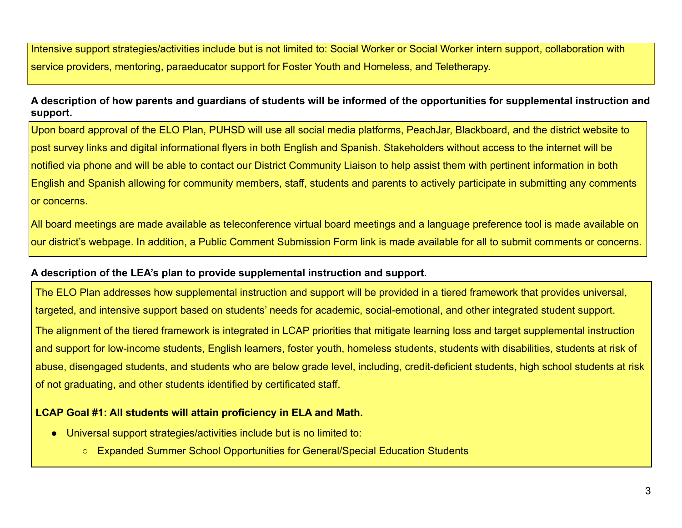Intensive support strategies/activities include but is not limited to: Social Worker or Social Worker intern support, collaboration with service providers, mentoring, paraeducator support for Foster Youth and Homeless, and Teletherapy.

**A description of how parents and guardians of students will be informed of the opportunities for supplemental instruction and support.**

Upon board approval of the ELO Plan, PUHSD will use all social media platforms, PeachJar, Blackboard, and the district website to post survey links and digital informational flyers in both English and Spanish. Stakeholders without access to the internet will be notified via phone and will be able to contact our District Community Liaison to help assist them with pertinent information in both English and Spanish allowing for community members, staff, students and parents to actively participate in submitting any comments or concerns.

All board meetings are made available as teleconference virtual board meetings and a language preference tool is made available on our district's webpage. In addition, a Public Comment Submission Form link is made available for all to submit comments or concerns.

#### **A description of the LEA's plan to provide supplemental instruction and support.**

The ELO Plan addresses how supplemental instruction and support will be provided in a tiered framework that provides universal, targeted, and intensive support based on students' needs for academic, social-emotional, and other integrated student support. The alignment of the tiered framework is integrated in LCAP priorities that mitigate learning loss and target supplemental instruction and support for low-income students, English learners, foster youth, homeless students, students with disabilities, students at risk of abuse, disengaged students, and students who are below grade level, including, credit-deficient students, high school students at risk of not graduating, and other students identified by certificated staff.

#### **LCAP Goal #1: All students will attain proficiency in ELA and Math.**

- Universal support strategies/activities include but is no limited to:
	- Expanded Summer School Opportunities for General/Special Education Students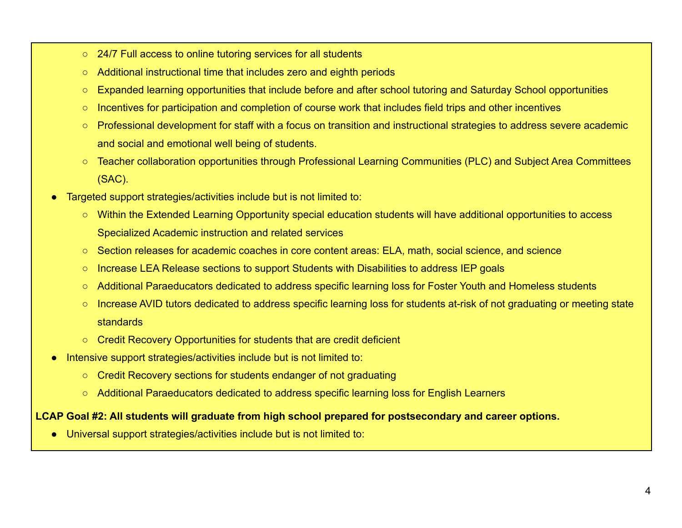- 24/7 Full access to online tutoring services for all students
- Additional instructional time that includes zero and eighth periods
- Expanded learning opportunities that include before and after school tutoring and Saturday School opportunities
- Incentives for participation and completion of course work that includes field trips and other incentives
- Professional development for staff with a focus on transition and instructional strategies to address severe academic and social and emotional well being of students.
- Teacher collaboration opportunities through Professional Learning Communities (PLC) and Subject Area Committees (SAC).
- Targeted support strategies/activities include but is not limited to:
	- Within the Extended Learning Opportunity special education students will have additional opportunities to access Specialized Academic instruction and related services
	- Section releases for academic coaches in core content areas: ELA, math, social science, and science
	- Increase LEA Release sections to support Students with Disabilities to address IEP goals
	- Additional Paraeducators dedicated to address specific learning loss for Foster Youth and Homeless students
	- Increase AVID tutors dedicated to address specific learning loss for students at-risk of not graduating or meeting state standards
	- Credit Recovery Opportunities for students that are credit deficient
- Intensive support strategies/activities include but is not limited to:
	- Credit Recovery sections for students endanger of not graduating
	- Additional Paraeducators dedicated to address specific learning loss for English Learners

#### **LCAP Goal #2: All students will graduate from high school prepared for postsecondary and career options.**

● Universal support strategies/activities include but is not limited to: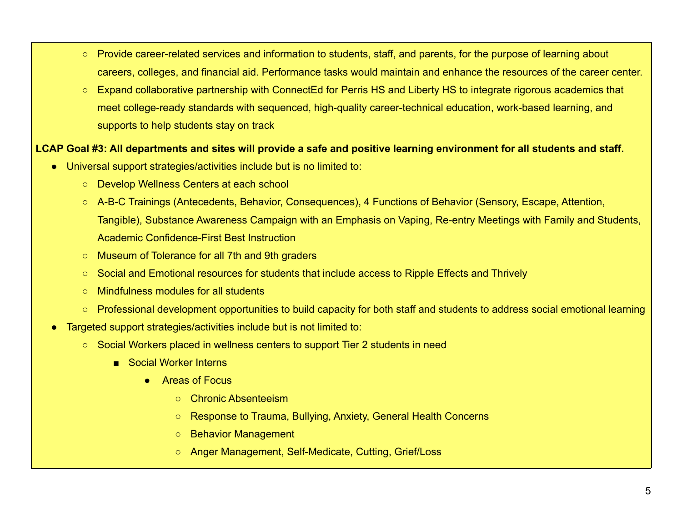- Provide career-related services and information to students, staff, and parents, for the purpose of learning about careers, colleges, and financial aid. Performance tasks would maintain and enhance the resources of the career center.
- Expand collaborative partnership with ConnectEd for Perris HS and Liberty HS to integrate rigorous academics that meet college-ready standards with sequenced, high-quality career-technical education, work-based learning, and supports to help students stay on track

#### **LCAP Goal #3: All departments and sites will provide a safe and positive learning environment for all students and staff.**

- Universal support strategies/activities include but is no limited to:
	- Develop Wellness Centers at each school
	- A-B-C Trainings (Antecedents, Behavior, Consequences), 4 Functions of Behavior (Sensory, Escape, Attention, Tangible), Substance Awareness Campaign with an Emphasis on Vaping, Re-entry Meetings with Family and Students, Academic Confidence-First Best Instruction
	- Museum of Tolerance for all 7th and 9th graders
	- Social and Emotional resources for students that include access to Ripple Effects and Thrively
	- Mindfulness modules for all students
	- Professional development opportunities to build capacity for both staff and students to address social emotional learning
- Targeted support strategies/activities include but is not limited to:
	- Social Workers placed in wellness centers to support Tier 2 students in need
		- Social Worker Interns
			- Areas of Focus
				- Chronic Absenteeism
				- Response to Trauma, Bullying, Anxiety, General Health Concerns
				- Behavior Management
				- Anger Management, Self-Medicate, Cutting, Grief/Loss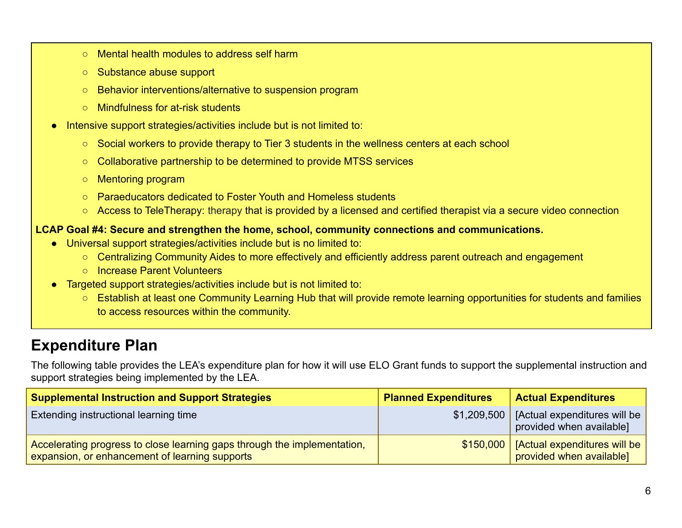- Mental health modules to address self harm
- Substance abuse support
- Behavior interventions/alternative to suspension program
- Mindfulness for at-risk students
- Intensive support strategies/activities include but is not limited to:
	- Social workers to provide therapy to Tier 3 students in the wellness centers at each school
	- Collaborative partnership to be determined to provide MTSS services
	- Mentoring program
	- Paraeducators dedicated to Foster Youth and Homeless students
	- Access to TeleTherapy: therapy that is provided by a licensed and certified therapist via a secure video connection

#### **LCAP Goal #4: Secure and strengthen the home, school, community connections and communications.**

- Universal support strategies/activities include but is no limited to:
	- Centralizing Community Aides to more effectively and efficiently address parent outreach and engagement
	- Increase Parent Volunteers
- Targeted support strategies/activities include but is not limited to:
	- Establish at least one Community Learning Hub that will provide remote learning opportunities for students and families to access resources within the community.

### **Expenditure Plan**

The following table provides the LEA's expenditure plan for how it will use ELO Grant funds to support the supplemental instruction and support strategies being implemented by the LEA.

| <b>Supplemental Instruction and Support Strategies</b>                                                                     | <b>Planned Expenditures</b> | <b>Actual Expenditures</b>                                       |
|----------------------------------------------------------------------------------------------------------------------------|-----------------------------|------------------------------------------------------------------|
| <b>Extending instructional learning time</b>                                                                               | \$1,209,500                 | [Actual expenditures will be $\vert$<br>provided when available] |
| Accelerating progress to close learning gaps through the implementation,<br>expansion, or enhancement of learning supports | \$150,000                   | [Actual expenditures will be $ $<br>provided when available]     |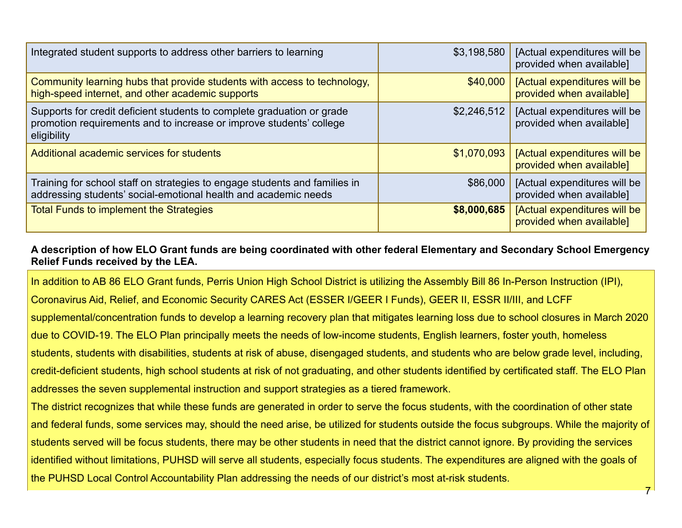| Integrated student supports to address other barriers to learning                                                                                            | \$3,198,580 | [Actual expenditures will be<br>provided when available] |
|--------------------------------------------------------------------------------------------------------------------------------------------------------------|-------------|----------------------------------------------------------|
| Community learning hubs that provide students with access to technology,<br>high-speed internet, and other academic supports                                 | \$40,000    | [Actual expenditures will be<br>provided when available] |
| Supports for credit deficient students to complete graduation or grade<br>promotion requirements and to increase or improve students' college<br>eligibility | \$2,246,512 | [Actual expenditures will be<br>provided when available] |
| Additional academic services for students                                                                                                                    | \$1,070,093 | [Actual expenditures will be<br>provided when available] |
| Training for school staff on strategies to engage students and families in<br>addressing students' social-emotional health and academic needs                | \$86,000    | [Actual expenditures will be<br>provided when available] |
| <b>Total Funds to implement the Strategies</b>                                                                                                               | \$8,000,685 | [Actual expenditures will be<br>provided when available] |

#### **A description of how ELO Grant funds are being coordinated with other federal Elementary and Secondary School Emergency Relief Funds received by the LEA.**

In addition to AB 86 ELO Grant funds, Perris Union High School District is utilizing the Assembly Bill 86 In-Person Instruction (IPI),

Coronavirus Aid, Relief, and Economic Security CARES Act (ESSER I/GEER I Funds), GEER II, ESSR II/III, and LCFF

supplemental/concentration funds to develop a learning recovery plan that mitigates learning loss due to school closures in March 2020 due to COVID-19. The ELO Plan principally meets the needs of low-income students, English learners, foster youth, homeless students, students with disabilities, students at risk of abuse, disengaged students, and students who are below grade level, including, credit-deficient students, high school students at risk of not graduating, and other students identified by certificated staff. The ELO Plan addresses the seven supplemental instruction and support strategies as a tiered framework.

The district recognizes that while these funds are generated in order to serve the focus students, with the coordination of other state and federal funds, some services may, should the need arise, be utilized for students outside the focus subgroups. While the majority of students served will be focus students, there may be other students in need that the district cannot ignore. By providing the services identified without limitations, PUHSD will serve all students, especially focus students. The expenditures are aligned with the goals of the PUHSD Local Control Accountability Plan addressing the needs of our district's most at-risk students.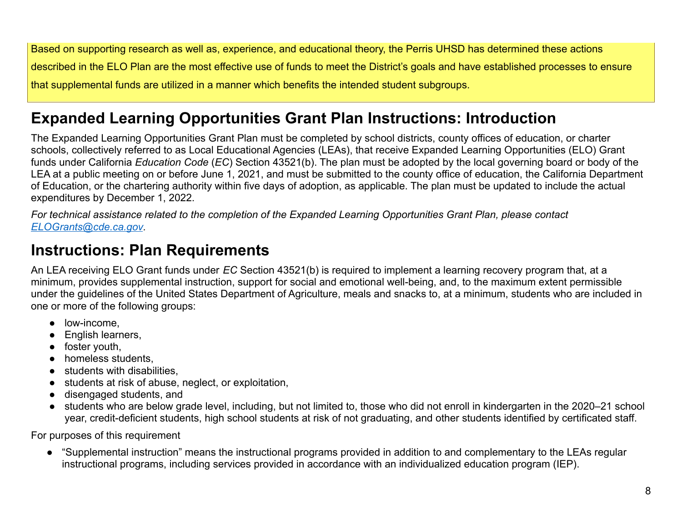Based on supporting research as well as, experience, and educational theory, the Perris UHSD has determined these actions described in the ELO Plan are the most effective use of funds to meet the District's goals and have established processes to ensure that supplemental funds are utilized in a manner which benefits the intended student subgroups.

### **Expanded Learning Opportunities Grant Plan Instructions: Introduction**

The Expanded Learning Opportunities Grant Plan must be completed by school districts, county offices of education, or charter schools, collectively referred to as Local Educational Agencies (LEAs), that receive Expanded Learning Opportunities (ELO) Grant funds under California *Education Code* (*EC*) Section 43521(b). The plan must be adopted by the local governing board or body of the LEA at a public meeting on or before June 1, 2021, and must be submitted to the county office of education, the California Department of Education, or the chartering authority within five days of adoption, as applicable. The plan must be updated to include the actual expenditures by December 1, 2022.

*For technical assistance related to the completion of the Expanded Learning Opportunities Grant Plan, please contact [ELOGrants@cde.ca.gov](mailto:ELOGrants@cde.ca.gov).*

### **Instructions: Plan Requirements**

An LEA receiving ELO Grant funds under *EC* Section 43521(b) is required to implement a learning recovery program that, at a minimum, provides supplemental instruction, support for social and emotional well-being, and, to the maximum extent permissible under the guidelines of the United States Department of Agriculture, meals and snacks to, at a minimum, students who are included in one or more of the following groups:

- low-income,
- English learners,
- foster youth,
- homeless students,
- students with disabilities.
- students at risk of abuse, neglect, or exploitation,
- disengaged students, and
- students who are below grade level, including, but not limited to, those who did not enroll in kindergarten in the 2020–21 school year, credit-deficient students, high school students at risk of not graduating, and other students identified by certificated staff.

For purposes of this requirement

● "Supplemental instruction" means the instructional programs provided in addition to and complementary to the LEAs regular instructional programs, including services provided in accordance with an individualized education program (IEP).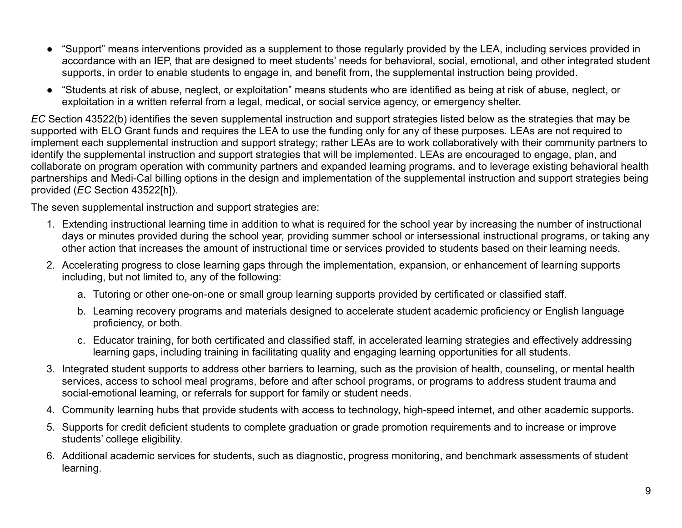- "Support" means interventions provided as a supplement to those regularly provided by the LEA, including services provided in accordance with an IEP, that are designed to meet students' needs for behavioral, social, emotional, and other integrated student supports, in order to enable students to engage in, and benefit from, the supplemental instruction being provided.
- "Students at risk of abuse, neglect, or exploitation" means students who are identified as being at risk of abuse, neglect, or exploitation in a written referral from a legal, medical, or social service agency, or emergency shelter.

*EC* Section 43522(b) identifies the seven supplemental instruction and support strategies listed below as the strategies that may be supported with ELO Grant funds and requires the LEA to use the funding only for any of these purposes. LEAs are not required to implement each supplemental instruction and support strategy; rather LEAs are to work collaboratively with their community partners to identify the supplemental instruction and support strategies that will be implemented. LEAs are encouraged to engage, plan, and collaborate on program operation with community partners and expanded learning programs, and to leverage existing behavioral health partnerships and Medi-Cal billing options in the design and implementation of the supplemental instruction and support strategies being provided (*EC* Section 43522[h]).

The seven supplemental instruction and support strategies are:

- 1. Extending instructional learning time in addition to what is required for the school year by increasing the number of instructional days or minutes provided during the school year, providing summer school or intersessional instructional programs, or taking any other action that increases the amount of instructional time or services provided to students based on their learning needs.
- 2. Accelerating progress to close learning gaps through the implementation, expansion, or enhancement of learning supports including, but not limited to, any of the following:
	- a. Tutoring or other one-on-one or small group learning supports provided by certificated or classified staff.
	- b. Learning recovery programs and materials designed to accelerate student academic proficiency or English language proficiency, or both.
	- c. Educator training, for both certificated and classified staff, in accelerated learning strategies and effectively addressing learning gaps, including training in facilitating quality and engaging learning opportunities for all students.
- 3. Integrated student supports to address other barriers to learning, such as the provision of health, counseling, or mental health services, access to school meal programs, before and after school programs, or programs to address student trauma and social-emotional learning, or referrals for support for family or student needs.
- 4. Community learning hubs that provide students with access to technology, high-speed internet, and other academic supports.
- 5. Supports for credit deficient students to complete graduation or grade promotion requirements and to increase or improve students' college eligibility.
- 6. Additional academic services for students, such as diagnostic, progress monitoring, and benchmark assessments of student learning.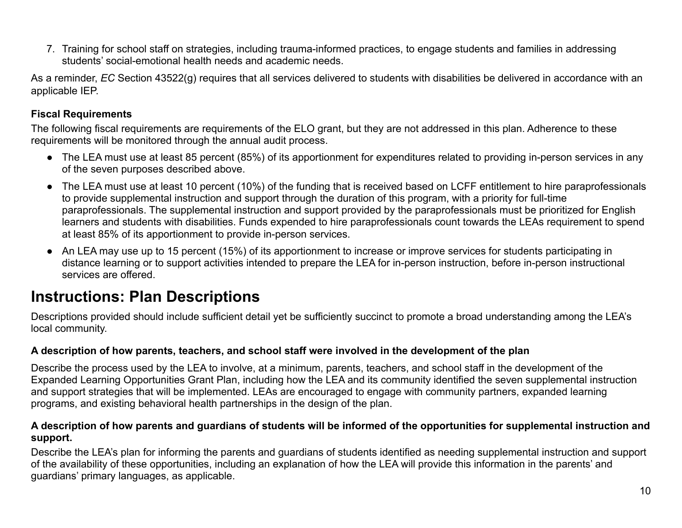7. Training for school staff on strategies, including trauma-informed practices, to engage students and families in addressing students' social-emotional health needs and academic needs.

As a reminder, *EC* Section 43522(g) requires that all services delivered to students with disabilities be delivered in accordance with an applicable IEP.

#### **Fiscal Requirements**

The following fiscal requirements are requirements of the ELO grant, but they are not addressed in this plan. Adherence to these requirements will be monitored through the annual audit process.

- The LEA must use at least 85 percent (85%) of its apportionment for expenditures related to providing in-person services in any of the seven purposes described above.
- The LEA must use at least 10 percent (10%) of the funding that is received based on LCFF entitlement to hire paraprofessionals to provide supplemental instruction and support through the duration of this program, with a priority for full-time paraprofessionals. The supplemental instruction and support provided by the paraprofessionals must be prioritized for English learners and students with disabilities. Funds expended to hire paraprofessionals count towards the LEAs requirement to spend at least 85% of its apportionment to provide in-person services.
- An LEA may use up to 15 percent (15%) of its apportionment to increase or improve services for students participating in distance learning or to support activities intended to prepare the LEA for in-person instruction, before in-person instructional services are offered.

### **Instructions: Plan Descriptions**

Descriptions provided should include sufficient detail yet be sufficiently succinct to promote a broad understanding among the LEA's local community.

#### **A description of how parents, teachers, and school staff were involved in the development of the plan**

Describe the process used by the LEA to involve, at a minimum, parents, teachers, and school staff in the development of the Expanded Learning Opportunities Grant Plan, including how the LEA and its community identified the seven supplemental instruction and support strategies that will be implemented. LEAs are encouraged to engage with community partners, expanded learning programs, and existing behavioral health partnerships in the design of the plan.

#### **A description of how parents and guardians of students will be informed of the opportunities for supplemental instruction and support.**

Describe the LEA's plan for informing the parents and guardians of students identified as needing supplemental instruction and support of the availability of these opportunities, including an explanation of how the LEA will provide this information in the parents' and guardians' primary languages, as applicable.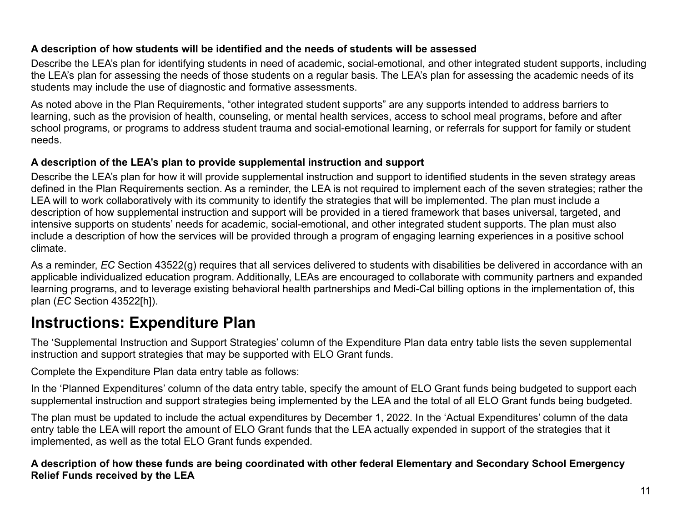#### **A description of how students will be identified and the needs of students will be assessed**

Describe the LEA's plan for identifying students in need of academic, social-emotional, and other integrated student supports, including the LEA's plan for assessing the needs of those students on a regular basis. The LEA's plan for assessing the academic needs of its students may include the use of diagnostic and formative assessments.

As noted above in the Plan Requirements, "other integrated student supports" are any supports intended to address barriers to learning, such as the provision of health, counseling, or mental health services, access to school meal programs, before and after school programs, or programs to address student trauma and social-emotional learning, or referrals for support for family or student needs.

#### **A description of the LEA's plan to provide supplemental instruction and support**

Describe the LEA's plan for how it will provide supplemental instruction and support to identified students in the seven strategy areas defined in the Plan Requirements section. As a reminder, the LEA is not required to implement each of the seven strategies; rather the LEA will to work collaboratively with its community to identify the strategies that will be implemented. The plan must include a description of how supplemental instruction and support will be provided in a tiered framework that bases universal, targeted, and intensive supports on students' needs for academic, social-emotional, and other integrated student supports. The plan must also include a description of how the services will be provided through a program of engaging learning experiences in a positive school climate.

As a reminder, *EC* Section 43522(g) requires that all services delivered to students with disabilities be delivered in accordance with an applicable individualized education program. Additionally, LEAs are encouraged to collaborate with community partners and expanded learning programs, and to leverage existing behavioral health partnerships and Medi-Cal billing options in the implementation of, this plan (*EC* Section 43522[h]).

## **Instructions: Expenditure Plan**

The 'Supplemental Instruction and Support Strategies' column of the Expenditure Plan data entry table lists the seven supplemental instruction and support strategies that may be supported with ELO Grant funds.

Complete the Expenditure Plan data entry table as follows:

In the 'Planned Expenditures' column of the data entry table, specify the amount of ELO Grant funds being budgeted to support each supplemental instruction and support strategies being implemented by the LEA and the total of all ELO Grant funds being budgeted.

The plan must be updated to include the actual expenditures by December 1, 2022. In the 'Actual Expenditures' column of the data entry table the LEA will report the amount of ELO Grant funds that the LEA actually expended in support of the strategies that it implemented, as well as the total ELO Grant funds expended.

**A description of how these funds are being coordinated with other federal Elementary and Secondary School Emergency Relief Funds received by the LEA**